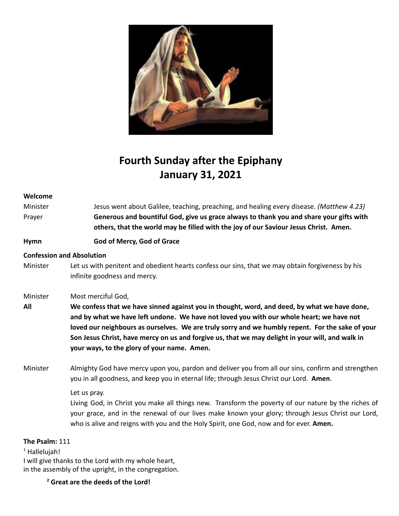

# **Fourth Sunday after the Epiphany January 31, 2021**

### **Welcome**

Minister Jesus went about Galilee, teaching, preaching, and healing every disease. *(Matthew 4.23)* Prayer **Generous and bountiful God, give us grace always to thank you and share your gifts with others, that the world may be filled with the joy of our Saviour Jesus Christ. Amen.**

# **Hymn God of Mercy, God of Grace**

## **Confession and Absolution**

Minister Let us with penitent and obedient hearts confess our sins, that we may obtain forgiveness by his infinite goodness and mercy.

### Minister Most merciful God,

All We confess that we have sinned against you in thought, word, and deed, by what we have done, **and by what we have left undone. We have not loved you with our whole heart; we have not loved our neighbours as ourselves. We are truly sorry and we humbly repent. For the sake of your** Son Jesus Christ, have mercy on us and forgive us, that we may delight in your will, and walk in **your ways, to the glory of your name. Amen.**

Minister Almighty God have mercy upon you, pardon and deliver you from all our sins, confirm and strengthen you in all goodness, and keep you in eternal life; through Jesus Christ our Lord. **Amen**.

### Let us pray.

Living God, in Christ you make all things new. Transform the poverty of our nature by the riches of your grace, and in the renewal of our lives make known your glory; through Jesus Christ our Lord, who is alive and reigns with you and the Holy Spirit, one God, now and for ever. **Amen.**

## **The Psalm:** 111

 $<sup>1</sup>$  Hallelujah!</sup> I will give thanks to the Lord with my whole heart, in the assembly of the upright, in the congregation.

**<sup>2</sup> Great are the deeds of the Lord!**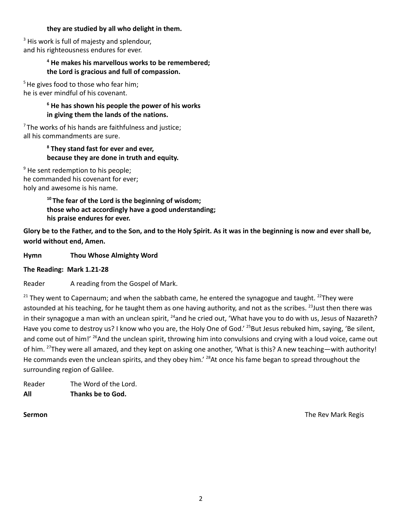# **they are studied by all who delight in them.**

 $3$  His work is full of majesty and splendour, and his righteousness endures for ever.

# **<sup>4</sup> He makes his marvellous works to be remembered; the Lord is gracious and full of compassion.**

 $5$ He gives food to those who fear him; he is ever mindful of his covenant.

# **<sup>6</sup> He has shown his people the power of his works in giving them the lands of the nations.**

 $7$  The works of his hands are faithfulness and justice; all his commandments are sure.

# **<sup>8</sup> They stand fast for ever and ever, because they are done in truth and equity.**

 $9$  He sent redemption to his people; he commanded his covenant for ever; holy and awesome is his name.

> **<sup>10</sup> The fear of the Lord is the beginning of wisdom; those who act accordingly have a good understanding; his praise endures for ever.**

Glory be to the Father, and to the Son, and to the Holy Spirit. As it was in the beginning is now and ever shall be, **world without end, Amen.**

**Hymn Thou Whose Almighty Word**

**The Reading: Mark 1.21-28**

Reader A reading from the Gospel of Mark.

 $21$  They went to Capernaum; and when the sabbath came, he entered the synagogue and taught.  $^{22}$ They were astounded at his teaching, for he taught them as one having authority, and not as the scribes. <sup>23</sup>Just then there was in their synagogue a man with an unclean spirit, <sup>24</sup>and he cried out, 'What have you to do with us, Jesus of Nazareth? Have you come to destroy us? I know who you are, the Holy One of God.' <sup>25</sup>But Jesus rebuked him, saying, 'Be silent, and come out of him!' <sup>26</sup>And the unclean spirit, throwing him into convulsions and crying with a loud voice, came out of him. <sup>27</sup>They were all amazed, and they kept on asking one another, 'What is this? A new teaching—with authority! He commands even the unclean spirits, and they obey him.' <sup>28</sup>At once his fame began to spread throughout the surrounding region of Galilee.

Reader The Word of the Lord. **All Thanks be to God.**

**Sermon** The Rev Mark Regis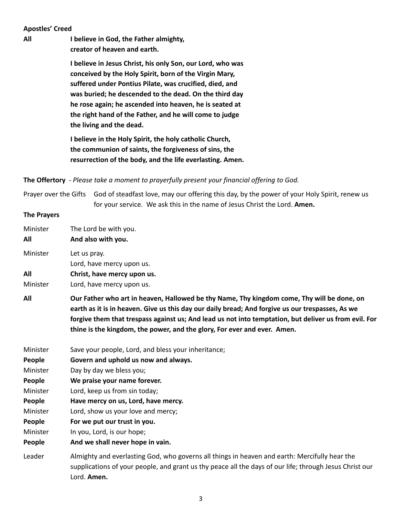**Apostles' Creed**

**All I believe in God, the Father almighty, creator of heaven and earth.**

> **I believe in Jesus Christ, his only Son, our Lord, who was conceived by the Holy Spirit, born of the Virgin Mary, suffered under Pontius Pilate, was crucified, died, and was buried; he descended to the dead. On the third day he rose again; he ascended into heaven, he is seated at the right hand of the Father, and he will come to judge the living and the dead.**

> **I believe in the Holy Spirit, the holy catholic Church, the communion of saints, the forgiveness of sins, the resurrection of the body, and the life everlasting. Amen.**

**The Offertory** - *Please take a moment to prayerfully present your financial offering to God.*

Prayer over the Gifts God of steadfast love, may our offering this day, by the power of your Holy Spirit, renew us for your service. We ask this in the name of Jesus Christ the Lord. **Amen.**

### **The Prayers**

| Minister | The Lord be with you.       |
|----------|-----------------------------|
| All      | And also with you.          |
| Minister | Let us pray.                |
|          | Lord, have mercy upon us.   |
| All      | Christ, have mercy upon us. |

Minister Lord, have mercy upon us.

- All **Solut Containst Property Controller** Our Father who art in heaven, Hallowed be thy Name, Thy kingdom come, Thy will be done, on earth as it is in heaven. Give us this day our daily bread; And forgive us our trespasses, As we forgive them that trespass against us; And lead us not into temptation, but deliver us from evil. For **thine is the kingdom, the power, and the glory, For ever and ever. Amen.**
- Minister Save your people, Lord, and bless your inheritance;
- **People Govern and uphold us now and always.**

Minister Day by day we bless you;

- **People We praise your name forever.**
- Minister Lord, keep us from sin today;
- **People Have mercy on us, Lord, have mercy.**

Minister Lord, show us your love and mercy;

**People For we put our trust in you.**

Minister In you, Lord, is our hope;

**People And we shall never hope in vain.**

Leader Almighty and everlasting God, who governs all things in heaven and earth: Mercifully hear the supplications of your people, and grant us thy peace all the days of our life; through Jesus Christ our Lord. **Amen.**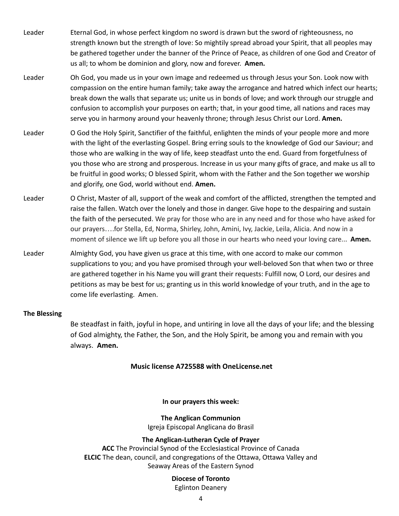- Leader Eternal God, in whose perfect kingdom no sword is drawn but the sword of righteousness, no strength known but the strength of love: So mightily spread abroad your Spirit, that all peoples may be gathered together under the banner of the Prince of Peace, as children of one God and Creator of us all; to whom be dominion and glory, now and forever. **Amen.**
- Leader Oh God, you made us in your own image and redeemed us through Jesus your Son. Look now with compassion on the entire human family; take away the arrogance and hatred which infect our hearts; break down the walls that separate us; unite us in bonds of love; and work through our struggle and confusion to accomplish your purposes on earth; that, in your good time, all nations and races may serve you in harmony around your heavenly throne; through Jesus Christ our Lord. **Amen.**
- Leader O God the Holy Spirit, Sanctifier of the faithful, enlighten the minds of your people more and more with the light of the everlasting Gospel. Bring erring souls to the knowledge of God our Saviour; and those who are walking in the way of life, keep steadfast unto the end. Guard from forgetfulness of you those who are strong and prosperous. Increase in us your many gifts of grace, and make us all to be fruitful in good works; O blessed Spirit, whom with the Father and the Son together we worship and glorify, one God, world without end. **Amen.**
- Leader O Christ, Master of all, support of the weak and comfort of the afflicted, strengthen the tempted and raise the fallen. Watch over the lonely and those in danger. Give hope to the despairing and sustain the faith of the persecuted. We pray for those who are in any need and for those who have asked for our prayers….for Stella, Ed, Norma, Shirley, John, Amini, Ivy, Jackie, Leila, Alicia. And now in a moment of silence we lift up before you all those in our hearts who need your loving care... **Amen.**
- Leader Almighty God, you have given us grace at this time, with one accord to make our common supplications to you; and you have promised through your well-beloved Son that when two or three are gathered together in his Name you will grant their requests: Fulfill now, O Lord, our desires and petitions as may be best for us; granting us in this world knowledge of your truth, and in the age to come life everlasting. Amen.

# **The Blessing**

Be steadfast in faith, joyful in hope, and untiring in love all the days of your life; and the blessing of God almighty, the Father, the Son, and the Holy Spirit, be among you and remain with you always. **Amen.**

# **Music license A725588 with OneLicense.net**

# **In our prayers this week:**

# **The Anglican Communion**

Igreja Episcopal Anglicana do Brasil

# **The Anglican-Lutheran Cycle of Prayer**

**ACC** The Provincial Synod of the Ecclesiastical Province of Canada **ELCIC** The dean, council, and congregations of the Ottawa, Ottawa Valley and Seaway Areas of the Eastern Synod

# **Diocese of Toronto**

Eglinton Deanery